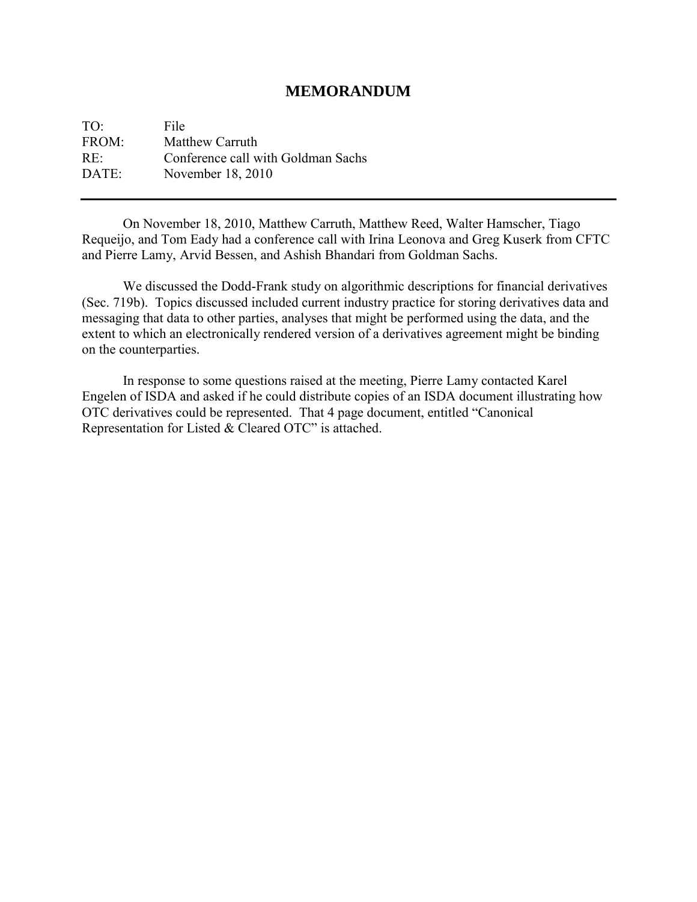#### **MEMORANDUM**

TO: File FROM: Matthew Carruth RE: Conference call with Goldman Sachs DATE: November 18, 2010

 On November 18, 2010, Matthew Carruth, Matthew Reed, Walter Hamscher, Tiago Requeijo, and Tom Eady had a conference call with Irina Leonova and Greg Kuserk from CFTC and Pierre Lamy, Arvid Bessen, and Ashish Bhandari from Goldman Sachs.

 We discussed the Dodd-Frank study on algorithmic descriptions for financial derivatives (Sec. 719b). Topics discussed included current industry practice for storing derivatives data and messaging that data to other parties, analyses that might be performed using the data, and the extent to which an electronically rendered version of a derivatives agreement might be binding on the counterparties.

 In response to some questions raised at the meeting, Pierre Lamy contacted Karel Engelen of ISDA and asked if he could distribute copies of an ISDA document illustrating how OTC derivatives could be represented. That 4 page document, entitled "Canonical Representation for Listed & Cleared OTC" is attached.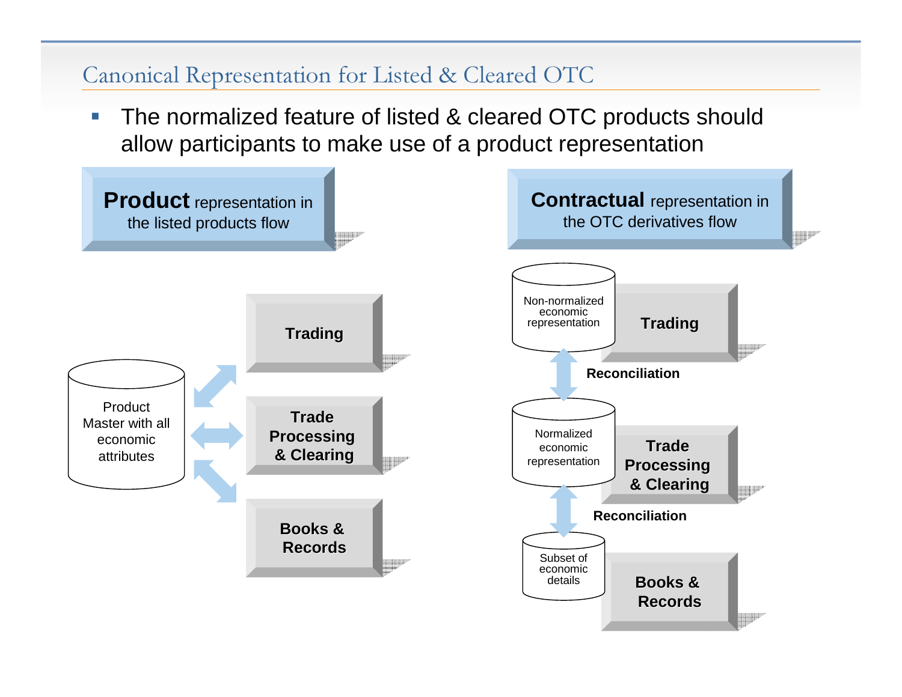$\mathcal{L}_{\mathcal{A}}$  The normalized feature of listed & cleared OTC products should allow participants to make use of a product representation

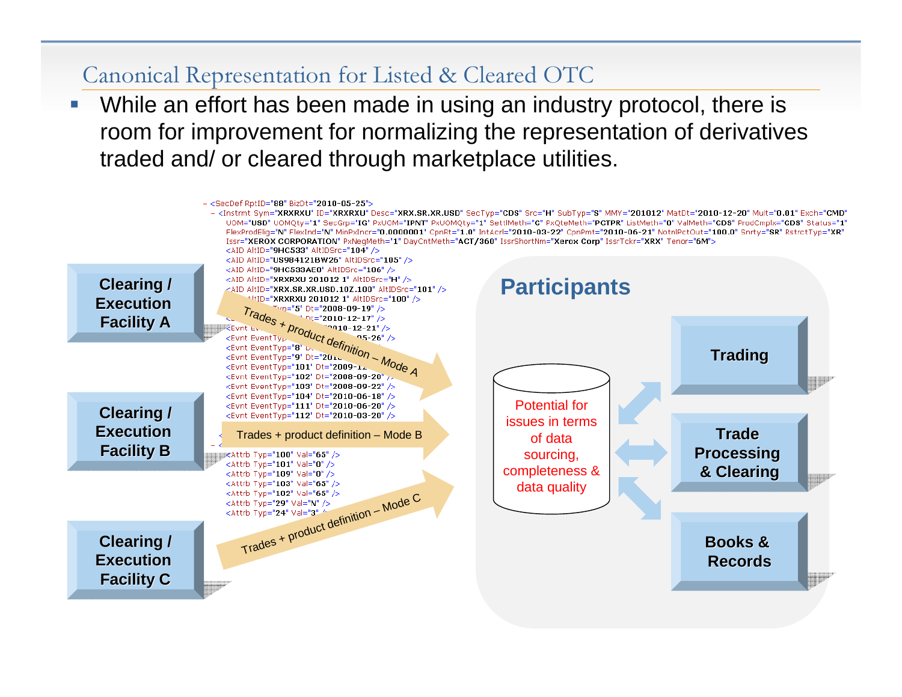**Service Service** ■ While an effort has been made in using an industry protocol, there is room for improvement for normalizing the representation of derivatives traded and/ or cleared through marketplace utilities.